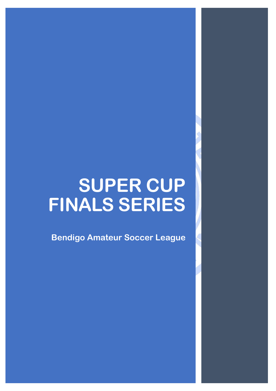# **SUPER CUP FINALS SERIES**

**Bendigo Amateur Soccer League**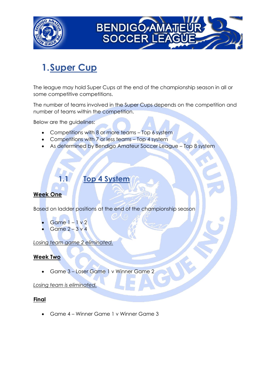



## **1.Super Cup**

The league may hold Super Cups at the end of the championship season in all or some competitive competitions.

The number of teams involved in the Super Cups depends on the competition and number of teams within the competition.

Below are the guidelines:

- Competitions with 8 or more teams Top 6 system
- Competitions with 7 or less teams Top 4 system
- As determined by Bendigo Amateur Soccer League Top 8 system

### **1.1 Top 4 System**

#### **Week One**

Based on ladder positions at the end of the championship season

- Game 1 1 v 2
- Game 2 3 v 4

*Losing team game 2 eliminated.*

#### **Week Two**

• Game 3 – Loser Game 1 v Winner Game 2

*Losing team is eliminated.*

#### **Final**

• Game 4 – Winner Game 1 v Winner Game 3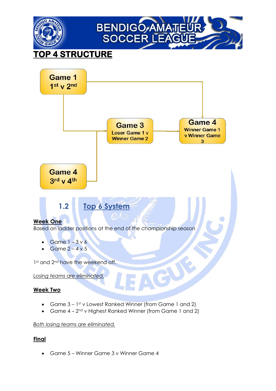



- Game 3 1st v Lowest Ranked Winner (from Game 1 and 2)
- Game  $4 2^{nd}$  v Highest Ranked Winner (from Game 1 and 2)

#### *Both losing teams are eliminated.*

#### **Final**

• Game 5 – Winner Game 3 v Winner Game 4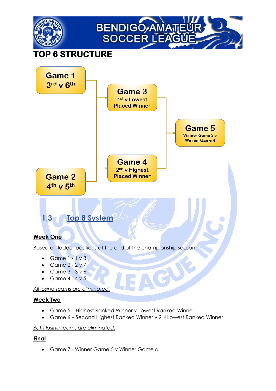

- Game  $3 3 \vee 6$
- Game  $4 4 \vee 5$

*All losing teams are eliminated.*

#### **Week Two**

- Game 5 Highest Ranked Winner v Lowest Ranked Winner
- Game 6 Second Highest Ranked Winner v 2<sup>nd</sup> Lowest Ranked Winner

#### *Both losing teams are eliminated.*

#### **Final**

• Game 7 - Winner Game 5 v Winner Game 6